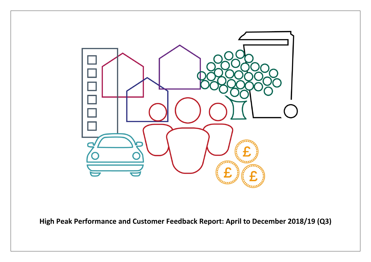

**High Peak Performance and Customer Feedback Report: April to December 2018/19 (Q3)**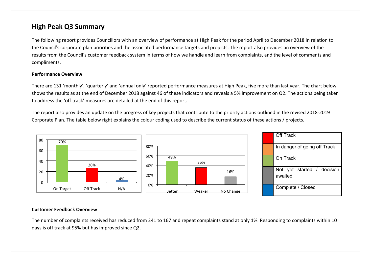## **High Peak Q3 Summary**

The following report provides Councillors with an overview of performance at High Peak for the period April to December 2018 in relation to the Council's corporate plan priorities and the associated performance targets and projects. The report also provides an overview of the results from the Council's customer feedback system in terms of how we handle and learn from complaints, and the level of comments and compliments.

#### **Performance Overview**

There are 131 'monthly', 'quarterly' and 'annual only' reported performance measures at High Peak, five more than last year. The chart below shows the results as at the end of December 2018 against 46 of these indicators and reveals a 5% improvement on Q2. The actions being taken to address the 'off track' measures are detailed at the end of this report.

The report also provides an update on the progress of key projects that contribute to the priority actions outlined in the revised 2018-2019 Corporate Plan. The table below right explains the colour coding used to describe the current status of these actions / projects.



#### **Customer Feedback Overview**

The number of complaints received has reduced from 241 to 167 and repeat complaints stand at only 1%. Responding to complaints within 10 days is off track at 95% but has improved since Q2.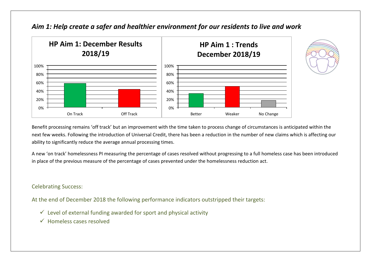

### *Aim 1: Help create a safer and healthier environment for our residents to live and work*



Benefit processing remains 'off track' but an improvement with the time taken to process change of circumstances is anticipated within the next few weeks. Following the introduction of Universal Credit, there has been a reduction in the number of new claims which is affecting our ability to significantly reduce the average annual processing times.

A new 'on track' homelessness PI measuring the percentage of cases resolved without progressing to a full homeless case has been introduced in place of the previous measure of the percentage of cases prevented under the homelessness reduction act.

### Celebrating Success:

At the end of December 2018 the following performance indicators outstripped their targets:

- $\checkmark$  Level of external funding awarded for sport and physical activity
- $\checkmark$  Homeless cases resolved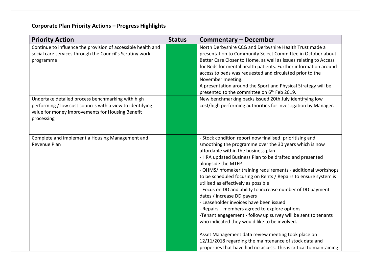# **Corporate Plan Priority Actions – Progress Highlights**

| <b>Priority Action</b>                                                                                                                                                           | <b>Status</b> | Commentary – December                                                                                                                                                                                                                                                                                                                                                                                                                                                                                                                                                                                                                                                                                                            |
|----------------------------------------------------------------------------------------------------------------------------------------------------------------------------------|---------------|----------------------------------------------------------------------------------------------------------------------------------------------------------------------------------------------------------------------------------------------------------------------------------------------------------------------------------------------------------------------------------------------------------------------------------------------------------------------------------------------------------------------------------------------------------------------------------------------------------------------------------------------------------------------------------------------------------------------------------|
| Continue to influence the provision of accessible health and<br>social care services through the Council's Scrutiny work<br>programme                                            |               | North Derbyshire CCG and Derbyshire Health Trust made a<br>presentation to Community Select Committee in October about<br>Better Care Closer to Home, as well as issues relating to Access<br>for Beds for mental health patients. Further information around<br>access to beds was requested and circulated prior to the<br>November meeting.<br>A presentation around the Sport and Physical Strategy will be<br>presented to the committee on 6 <sup>th</sup> Feb 2019.                                                                                                                                                                                                                                                       |
| Undertake detailed process benchmarking with high<br>performing / low cost councils with a view to identifying<br>value for money improvements for Housing Benefit<br>processing |               | New benchmarking packs issued 20th July identifying low<br>cost/high performing authorities for investigation by Manager.                                                                                                                                                                                                                                                                                                                                                                                                                                                                                                                                                                                                        |
| Complete and implement a Housing Management and<br>Revenue Plan                                                                                                                  |               | - Stock condition report now finalised; prioritising and<br>smoothing the programme over the 30 years which is now<br>affordable within the business plan<br>- HRA updated Business Plan to be drafted and presented<br>alongside the MTFP<br>- OHMS/Infomaker training requirements - additional workshops<br>to be scheduled focusing on Rents / Repairs to ensure system is<br>utilised as effectively as possible<br>- Focus on DD and ability to increase number of DD payment<br>dates / increase DD payers<br>- Leaseholder invoices have been issued<br>- Repairs – members agreed to explore options.<br>-Tenant engagement - follow up survey will be sent to tenants<br>who indicated they would like to be involved. |
|                                                                                                                                                                                  |               | Asset Management data review meeting took place on<br>12/11/2018 regarding the maintenance of stock data and<br>properties that have had no access. This is critical to maintaining                                                                                                                                                                                                                                                                                                                                                                                                                                                                                                                                              |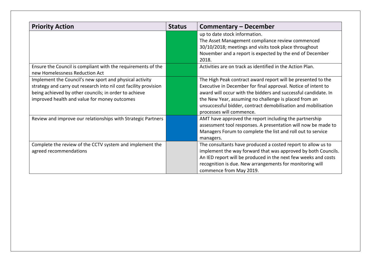| <b>Priority Action</b>                                                                                                                                                                                                               | <b>Status</b> | Commentary – December                                                                                                                                                                                                                                                                                                                                 |
|--------------------------------------------------------------------------------------------------------------------------------------------------------------------------------------------------------------------------------------|---------------|-------------------------------------------------------------------------------------------------------------------------------------------------------------------------------------------------------------------------------------------------------------------------------------------------------------------------------------------------------|
|                                                                                                                                                                                                                                      |               | up to date stock information.<br>The Asset Management compliance review commenced<br>30/10/2018; meetings and visits took place throughout<br>November and a report is expected by the end of December<br>2018.                                                                                                                                       |
| Ensure the Council is compliant with the requirements of the<br>new Homelessness Reduction Act                                                                                                                                       |               | Activities are on track as identified in the Action Plan.                                                                                                                                                                                                                                                                                             |
| Implement the Council's new sport and physical activity<br>strategy and carry out research into nil cost facility provision<br>being achieved by other councils; in order to achieve<br>improved health and value for money outcomes |               | The High Peak contract award report will be presented to the<br>Executive in December for final approval. Notice of intent to<br>award will occur with the bidders and successful candidate. In<br>the New Year, assuming no challenge is placed from an<br>unsuccessful bidder, contract demobilisation and mobilisation<br>processes will commence. |
| Review and improve our relationships with Strategic Partners                                                                                                                                                                         |               | AMT have approved the report including the partnership<br>assessment tool responses. A presentation will now be made to<br>Managers Forum to complete the list and roll out to service<br>managers.                                                                                                                                                   |
| Complete the review of the CCTV system and implement the<br>agreed recommendations                                                                                                                                                   |               | The consultants have produced a costed report to allow us to<br>implement the way forward that was approved by both Councils.<br>An IED report will be produced in the next few weeks and costs<br>recognition is due. New arrangements for monitoring will<br>commence from May 2019.                                                                |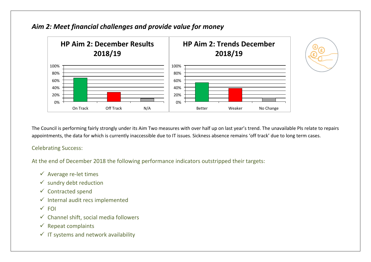

## *Aim 2: Meet financial challenges and provide value for money*

The Council is performing fairly strongly under its Aim Two measures with over half up on last year's trend. The unavailable PIs relate to repairs appointments, the data for which is currently inaccessible due to IT issues. Sickness absence remains 'off track' due to long term cases.

Celebrating Success:

At the end of December 2018 the following performance indicators outstripped their targets:

- $\checkmark$  Average re-let times
- $\checkmark$  sundry debt reduction
- $\checkmark$  Contracted spend
- $\checkmark$  Internal audit recs implemented
- $\sqrt{F}$ FOI
- $\checkmark$  Channel shift, social media followers
- $\checkmark$  Repeat complaints
- $\checkmark$  IT systems and network availability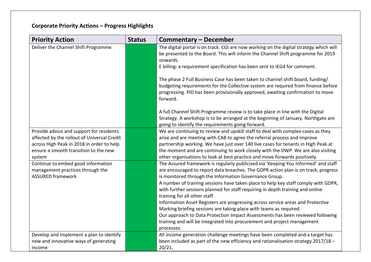# **Corporate Priority Actions – Progress Highlights**

| <b>Priority Action</b>                                                                             | <b>Status</b> | <b>Commentary - December</b>                                                                                                                                                                                                                                       |  |  |
|----------------------------------------------------------------------------------------------------|---------------|--------------------------------------------------------------------------------------------------------------------------------------------------------------------------------------------------------------------------------------------------------------------|--|--|
| Deliver the Channel Shift Programme                                                                |               | The digital portal is on track. CGI are now working on the digital strategy which will<br>be presented to the Board. This will inform the Channel Shift programme for 2019<br>onwards.                                                                             |  |  |
|                                                                                                    |               | E billing: a requirement specification has been sent to IEG4 for comment.                                                                                                                                                                                          |  |  |
|                                                                                                    |               | The phase 2 Full Business Case has been taken to channel shift board, funding/<br>budgeting requirements for the Collective system are required from finance before<br>progressing. PID has been provisionally approved, awaiting confirmation to move<br>forward. |  |  |
|                                                                                                    |               | A full Channel Shift Programme review is to take place in line with the Digital<br>Strategy. A workshop is to be arranged at the beginning of January. Northgate are<br>going to identify the requirements going forward.                                          |  |  |
| Provide advice and support for residents                                                           |               | We are continuing to review and upskill staff to deal with complex cases as they                                                                                                                                                                                   |  |  |
| affected by the rollout of Universal Credit<br>across High Peak in 2018 in order to help           |               | arise and are meeting with CAB to agree the referral process and improve<br>partnership working. We have just over 140 live cases for tenants in High Peak at                                                                                                      |  |  |
| ensure a smooth transition to the new                                                              |               | the moment and are continuing to work closely with the DWP. We are also visiting                                                                                                                                                                                   |  |  |
| system                                                                                             |               | other organisations to look at best practice and move forwards positively.                                                                                                                                                                                         |  |  |
| Continue to embed good information<br>management practices through the<br><b>ASSURED framework</b> |               | The Assured framework is regularly publicised via 'Keeping You Informed' and staff<br>are encouraged to report data breaches. The GDPR action plan is on track, progress<br>is monitored through the Information Governance Group.                                 |  |  |
|                                                                                                    |               | A number of training sessions have taken place to help key staff comply with GDPR,<br>with further sessions planned for staff requiring in depth training and online<br>training for all other staff.                                                              |  |  |
|                                                                                                    |               | Information Asset Registers are progressing across service areas and Protective                                                                                                                                                                                    |  |  |
|                                                                                                    |               | Marking briefing sessions are taking place with teams as required.<br>Our approach to Data Protection Impact Assessments has been reviewed following                                                                                                               |  |  |
|                                                                                                    |               | training and will be integrated into procurement and project management<br>processes.                                                                                                                                                                              |  |  |
| Develop and implement a plan to identify                                                           |               | All income generation challenge meetings have been completed and a target has                                                                                                                                                                                      |  |  |
| new and innovative ways of generating                                                              |               | been included as part of the new efficiency and rationalisation strategy 2017/18 -                                                                                                                                                                                 |  |  |
| income                                                                                             |               | 20/21.                                                                                                                                                                                                                                                             |  |  |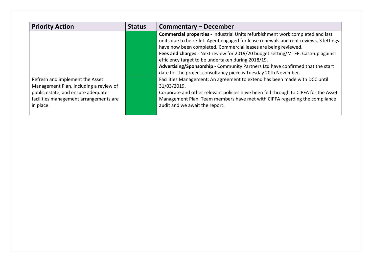| <b>Priority Action</b>                 | <b>Status</b> | Commentary – December                                                                 |
|----------------------------------------|---------------|---------------------------------------------------------------------------------------|
|                                        |               | <b>Commercial properties</b> - Industrial Units refurbishment work completed and last |
|                                        |               | units due to be re-let. Agent engaged for lease renewals and rent reviews, 3 lettings |
|                                        |               | have now been completed. Commercial leases are being reviewed.                        |
|                                        |               | Fees and charges - Next review for 2019/20 budget setting/MTFP. Cash-up against       |
|                                        |               | efficiency target to be undertaken during 2018/19.                                    |
|                                        |               | Advertising/Sponsorship - Community Partners Ltd have confirmed that the start        |
|                                        |               | date for the project consultancy piece is Tuesday 20th November.                      |
| Refresh and implement the Asset        |               | Facilities Management: An agreement to extend has been made with DCC until            |
| Management Plan, including a review of |               | 31/03/2019.                                                                           |
| public estate, and ensure adequate     |               | Corporate and other relevant policies have been fed through to CIPFA for the Asset    |
| facilities management arrangements are |               | Management Plan. Team members have met with CIPFA regarding the compliance            |
| in place                               |               | audit and we await the report.                                                        |
|                                        |               |                                                                                       |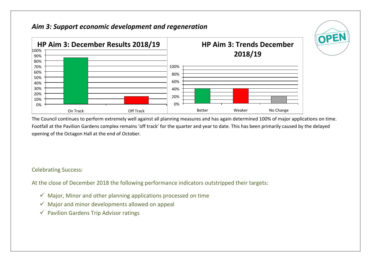## *Aim 3: Support economic development and regeneration*



The Council continues to perform extremely well against all planning measures and has again determined 100% of major applications on time. Footfall at the Pavilion Gardens complex remains 'off track' for the quarter and year to date. This has been primarily caused by the delayed opening of the Octagon Hall at the end of October.

OPEN

Celebrating Success:

At the close of December 2018 the following performance indicators outstripped their targets:

- $\checkmark$  Major, Minor and other planning applications processed on time
- $\checkmark$  Major and minor developments allowed on appeal
- $\checkmark$  Pavilion Gardens Trip Advisor ratings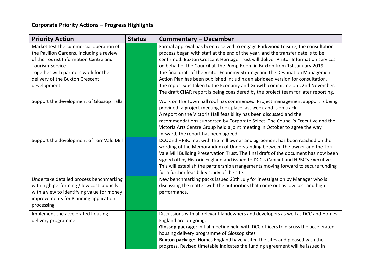# **Corporate Priority Actions – Progress Highlights**

| <b>Priority Action</b>                     | <b>Status</b> | <b>Commentary – December</b>                                                        |  |  |
|--------------------------------------------|---------------|-------------------------------------------------------------------------------------|--|--|
| Market test the commercial operation of    |               | Formal approval has been received to engage Parkwood Leisure, the consultation      |  |  |
| the Pavilion Gardens, including a review   |               | process began with staff at the end of the year, and the transfer date is to be     |  |  |
| of the Tourist Information Centre and      |               | confirmed. Buxton Crescent Heritage Trust will deliver Visitor Information services |  |  |
| <b>Tourism Service</b>                     |               | on behalf of the Council at The Pump Room in Buxton from 1st January 2019.          |  |  |
| Together with partners work for the        |               | The final draft of the Visitor Economy Strategy and the Destination Management      |  |  |
| delivery of the Buxton Crescent            |               | Action Plan has been published including an abridged version for consultation.      |  |  |
| development                                |               | The report was taken to the Economy and Growth committee on 22nd November.          |  |  |
|                                            |               | The draft CHAR report is being considered by the project team for later reporting.  |  |  |
| Support the development of Glossop Halls   |               | Work on the Town hall roof has commenced. Project management support is being       |  |  |
|                                            |               | provided; a project meeting took place last week and is on track.                   |  |  |
|                                            |               | A report on the Victoria Hall feasibility has been discussed and the                |  |  |
|                                            |               | recommendations supported by Corporate Select. The Council's Executive and the      |  |  |
|                                            |               | Victoria Arts Centre Group held a joint meeting in October to agree the way         |  |  |
|                                            |               | forward, the report has been agreed.                                                |  |  |
| Support the development of Torr Vale Mill  |               | DCC and HPBC met with the mill owner and agreement has been reached on the          |  |  |
|                                            |               | wording of the Memorandum of Understanding between the owner and the Torr           |  |  |
|                                            |               | Vale Mill Building Preservation Trust. The final draft of the document has now been |  |  |
|                                            |               | signed off by Historic England and issued to DCC's Cabinet and HPBC's Executive.    |  |  |
|                                            |               | This will establish the partnership arrangements moving forward to secure funding   |  |  |
|                                            |               | for a further feasibility study of the site.                                        |  |  |
| Undertake detailed process benchmarking    |               | New benchmarking packs issued 20th July for investigation by Manager who is         |  |  |
| with high performing / low cost councils   |               | discussing the matter with the authorities that come out as low cost and high       |  |  |
| with a view to identifying value for money |               | performance.                                                                        |  |  |
| improvements for Planning application      |               |                                                                                     |  |  |
| processing                                 |               |                                                                                     |  |  |
| Implement the accelerated housing          |               | Discussions with all relevant landowners and developers as well as DCC and Homes    |  |  |
| delivery programme                         |               | England are on-going:                                                               |  |  |
|                                            |               | Glossop package: Initial meeting held with DCC officers to discuss the accelerated  |  |  |
|                                            |               | housing delivery programme of Glossop sites.                                        |  |  |
|                                            |               | Buxton package: Homes England have visited the sites and pleased with the           |  |  |
|                                            |               | progress. Revised timetable indicates the funding agreement will be issued in       |  |  |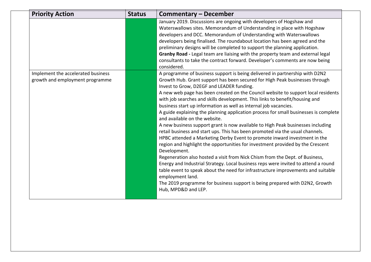| <b>Priority Action</b>                                                | <b>Status</b> | Commentary – December                                                                                                                                                                                                                                                                                                                                                                                                                                                                                                                                                                                                                                                                                                                                                                                                                                                                                                                                                                                                                                                                                                                                                                                                                                                                                           |
|-----------------------------------------------------------------------|---------------|-----------------------------------------------------------------------------------------------------------------------------------------------------------------------------------------------------------------------------------------------------------------------------------------------------------------------------------------------------------------------------------------------------------------------------------------------------------------------------------------------------------------------------------------------------------------------------------------------------------------------------------------------------------------------------------------------------------------------------------------------------------------------------------------------------------------------------------------------------------------------------------------------------------------------------------------------------------------------------------------------------------------------------------------------------------------------------------------------------------------------------------------------------------------------------------------------------------------------------------------------------------------------------------------------------------------|
|                                                                       |               | January 2019. Discussions are ongoing with developers of Hogshaw and<br>Waterswallows sites. Memorandum of Understanding in place with Hogshaw<br>developers and DCC. Memorandum of Understanding with Waterswallows<br>developers being finalised. The roundabout location has been agreed and the<br>preliminary designs will be completed to support the planning application.<br>Granby Road - Legal team are liaising with the property team and external legal<br>consultants to take the contract forward. Developer's comments are now being<br>considered.                                                                                                                                                                                                                                                                                                                                                                                                                                                                                                                                                                                                                                                                                                                                             |
| Implement the accelerated business<br>growth and employment programme |               | A programme of business support is being delivered in partnership with D2N2<br>Growth Hub. Grant support has been secured for High Peak businesses through<br>Invest to Grow, D2EGF and LEADER funding.<br>A new web page has been created on the Council website to support local residents<br>with job searches and skills development. This links to benefit/housing and<br>business start up information as well as internal job vacancies.<br>A guide explaining the planning application process for small businesses is complete<br>and available on the website.<br>A new business support grant is now available to High Peak businesses including<br>retail business and start ups. This has been promoted via the usual channels.<br>HPBC attended a Marketing Derby Event to promote inward investment in the<br>region and highlight the opportunities for investment provided by the Crescent<br>Development.<br>Regeneration also hosted a visit from Nick Chism from the Dept. of Business,<br>Energy and Industrial Strategy. Local business reps were invited to attend a round<br>table event to speak about the need for infrastructure improvements and suitable<br>employment land.<br>The 2019 programme for business support is being prepared with D2N2, Growth<br>Hub, MPD&D and LEP. |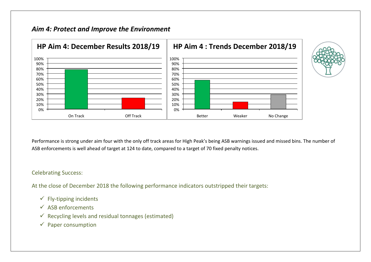## *Aim 4: Protect and Improve the Environment*



Performance is strong under aim four with the only off track areas for High Peak's being ASB warnings issued and missed bins. The number of ASB enforcements is well ahead of target at 124 to date, compared to a target of 70 fixed penalty notices.

#### Celebrating Success:

At the close of December 2018 the following performance indicators outstripped their targets:

- $\checkmark$  Fly-tipping incidents
- $\checkmark$  ASB enforcements
- $\checkmark$  Recycling levels and residual tonnages (estimated)
- $\checkmark$  Paper consumption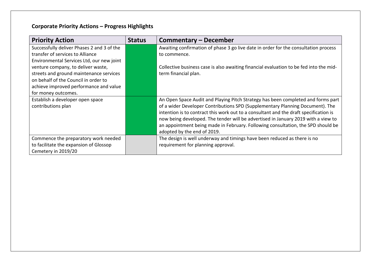# **Corporate Priority Actions – Progress Highlights**

| <b>Priority Action</b>                     | <b>Status</b> | <b>Commentary – December</b>                                                           |
|--------------------------------------------|---------------|----------------------------------------------------------------------------------------|
| Successfully deliver Phases 2 and 3 of the |               | Awaiting confirmation of phase 3 go live date in order for the consultation process    |
| transfer of services to Alliance           |               | to commence.                                                                           |
| Environmental Services Ltd, our new joint  |               |                                                                                        |
| venture company, to deliver waste,         |               | Collective business case is also awaiting financial evaluation to be fed into the mid- |
| streets and ground maintenance services    |               | term financial plan.                                                                   |
| on behalf of the Council in order to       |               |                                                                                        |
| achieve improved performance and value     |               |                                                                                        |
| for money outcomes.                        |               |                                                                                        |
| Establish a developer open space           |               | An Open Space Audit and Playing Pitch Strategy has been completed and forms part       |
| contributions plan                         |               | of a wider Developer Contributions SPD (Supplementary Planning Document). The          |
|                                            |               | intention is to contract this work out to a consultant and the draft specification is  |
|                                            |               | now being developed. The tender will be advertised in January 2019 with a view to      |
|                                            |               | an appointment being made in February. Following consultation, the SPD should be       |
|                                            |               | adopted by the end of 2019.                                                            |
| Commence the preparatory work needed       |               | The design is well underway and timings have been reduced as there is no               |
| to facilitate the expansion of Glossop     |               | requirement for planning approval.                                                     |
| Cemetery in 2019/20                        |               |                                                                                        |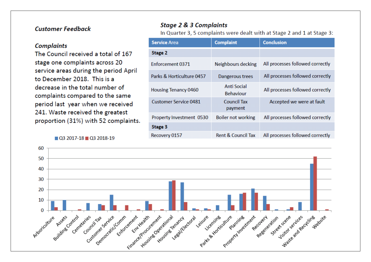### **Customer Feedback**

#### **Complaints**

The Council received a total of 167 stage one complaints across 20 service areas during the period April to December 2018. This is a decrease in the total number of complaints compared to the same period last year when we received 241. Waste received the greatest proportion (31%) with 52 complaints.

 $\Box$  Q3 2017-18  $\Box$  Q3 2018-19

### **Stage 2 & 3 Complaints**

In Quarter 3, 5 complaints were dealt with at Stage 2 and 1 at Stage 3:

| <b>Service Area</b>         | <b>Complaint</b>                | <b>Conclusion</b>                |  |  |
|-----------------------------|---------------------------------|----------------------------------|--|--|
| Stage 2                     |                                 |                                  |  |  |
| Enforcement 0371            | Neighbours decking              | All processes followed correctly |  |  |
| Parks & Horticulture 0457   | Dangerous trees                 | All processes followed correctly |  |  |
| <b>Housing Tenancy 0460</b> | Anti Social<br><b>Behaviour</b> | All processes followed correctly |  |  |
| Customer Service 0481       | <b>Council Tax</b><br>payment   | Accepted we were at fault        |  |  |
| Property Investment 0530    | <b>Boiler not working</b>       | All processes followed correctly |  |  |
| Stage 3                     |                                 |                                  |  |  |
| Recovery 0157               | <b>Rent &amp; Council Tax</b>   | All processes followed correctly |  |  |

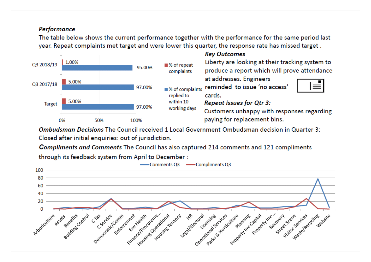### **Performance**

The table below shows the current performance together with the performance for the same period last year. Repeat complaints met target and were lower this quarter, the response rate has missed target.



Ombudsman Decisions The Council received 1 Local Government Ombudsman decision in Quarter 3: Closed after initial enquiries: out of jurisdiction.

**Compliments and Comments The Council has also captured 214 comments and 121 compliments** 

through its feedback system from April to December:

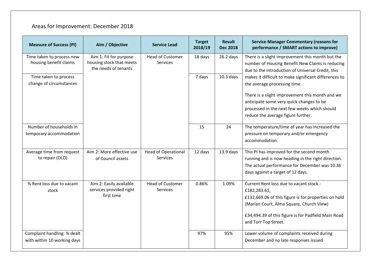# Areas for Improvement: December 2018

| <b>Measure of Success (PI)</b>                             | Aim / Objective                                                            | <b>Service Lead</b>                        | <b>Target</b><br>2018/19 | <b>Result</b><br><b>Dec 2018</b> | <b>Service Manager Commentary (reasons for</b><br>performance / SMART actions to improve)                                                                                                                                                  |
|------------------------------------------------------------|----------------------------------------------------------------------------|--------------------------------------------|--------------------------|----------------------------------|--------------------------------------------------------------------------------------------------------------------------------------------------------------------------------------------------------------------------------------------|
| Time taken to process new<br>housing benefit claims        | Aim 1: Fit for purpose<br>housing stock that meets<br>the needs of tenants | <b>Head of Customer</b><br>Services        | 18 days                  | $26.2$ days                      | There is a slight improvement this month but the<br>number of Housing Benefit New Claims is reducing<br>due to the introduction of Universal Credit, this                                                                                  |
| Time taken to process<br>change of circumstances           |                                                                            |                                            | 7 days                   | $10.3$ days                      | makes it difficult to make significant differences to<br>the average processing time.<br>There is a slight improvement this month and we<br>anticipate some very quick changes to be<br>processed in the next few weeks which should       |
| Number of households in                                    |                                                                            |                                            | 15                       | 24                               | reduce the average figure further.<br>The temperature/time of year has increased the                                                                                                                                                       |
| temporary accommodation                                    |                                                                            |                                            |                          |                                  | pressure on temporary and/or emergency<br>accommodation.                                                                                                                                                                                   |
| Average time from request<br>to repair (DLO)               | Aim 2: More effective use<br>of Council assets                             | <b>Head of Operational</b><br>Services     | 12 days                  | $13.9$ days                      | This PI has improved for the second month<br>running and is now heading in the right direction.<br>The actual performance for December was 10.36<br>days against a target of 12 days.                                                      |
| % Rent loss due to vacant<br>stock                         | Aim 2: Easily available<br>services provided right<br>first time           | <b>Head of Customer</b><br><b>Services</b> | 0.86%                    | 1.09%                            | Current Rent loss due to vacant stock -<br>£182,283.61,<br>£132,669.06 of this figure is for properties on hold<br>(Marian Court, Alma Square, Church View)<br>£34,494.39 of this figure is for Padfield Main Road<br>and Torr Top Street. |
| Complaint handling: % dealt<br>with within 10 working days |                                                                            |                                            | 97%                      | 95%                              | Lower volume of complaints received during<br>December and no late responses issued                                                                                                                                                        |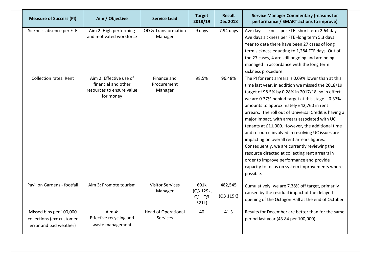| <b>Measure of Success (PI)</b>                                                 | Aim / Objective                                                                          | Service Lead                                  | <b>Target</b><br>2018/19                | <b>Result</b><br><b>Dec 2018</b> | <b>Service Manager Commentary (reasons for</b><br>performance / SMART actions to improve)                                                                                                                                                                                                                                                                                                                                                                                                                                                                                                                                                                                                                                                  |
|--------------------------------------------------------------------------------|------------------------------------------------------------------------------------------|-----------------------------------------------|-----------------------------------------|----------------------------------|--------------------------------------------------------------------------------------------------------------------------------------------------------------------------------------------------------------------------------------------------------------------------------------------------------------------------------------------------------------------------------------------------------------------------------------------------------------------------------------------------------------------------------------------------------------------------------------------------------------------------------------------------------------------------------------------------------------------------------------------|
| Sickness absence per FTE                                                       | Aim 2: High performing<br>and motivated workforce                                        | OD & Transformation<br>Manager                | 9 days                                  | 7.94 days                        | Ave days sickness per FTE- short term 2.64 days<br>Ave days sickness per FTE -long term 5.3 days.<br>Year to date there have been 27 cases of long<br>term sickness equating to 1,284 FTE days. Out of<br>the 27 cases, 4 are still ongoing and are being<br>managed in accordance with the long term<br>sickness procedure.                                                                                                                                                                                                                                                                                                                                                                                                               |
| <b>Collection rates: Rent</b>                                                  | Aim 2: Effective use of<br>financial and other<br>resources to ensure value<br>for money | Finance and<br>Procurement<br>Manager         | 98.5%                                   | 96.48%                           | The PI for rent arrears is 0.09% lower than at this<br>time last year, in addition we missed the 2018/19<br>target of 98.5% by 0.28% in 2017/18, so in effect<br>we are 0.37% behind target at this stage. 0.37%<br>amounts to approximately £42,760 in rent<br>arrears. The roll out of Universal Credit is having a<br>major impact, with arrears associated with UC<br>tenants at £11,000. However, the additional time<br>and resource involved in resolving UC issues are<br>impacting on overall rent arrears figures.<br>Consequently, we are currently reviewing the<br>resource directed at collecting rent arrears in<br>order to improve performance and provide<br>capacity to focus on system improvements where<br>possible. |
| Pavilion Gardens - footfall                                                    | Aim 3: Promote tourism                                                                   | <b>Visitor Services</b><br>Manager            | 601k<br>(Q3 129k,<br>$Q1 - Q3$<br>521k) | 482,545<br>(Q3 115K)             | Cumulatively, we are 7.38% off target, primarily<br>caused by the residual impact of the delayed<br>opening of the Octagon Hall at the end of October                                                                                                                                                                                                                                                                                                                                                                                                                                                                                                                                                                                      |
| Missed bins per 100,000<br>collections (exc customer<br>error and bad weather) | Aim 4:<br>Effective recycling and<br>waste management                                    | <b>Head of Operational</b><br><b>Services</b> | 40                                      | 41.3                             | Results for December are better than for the same<br>period last year (43.84 per 100,000)                                                                                                                                                                                                                                                                                                                                                                                                                                                                                                                                                                                                                                                  |